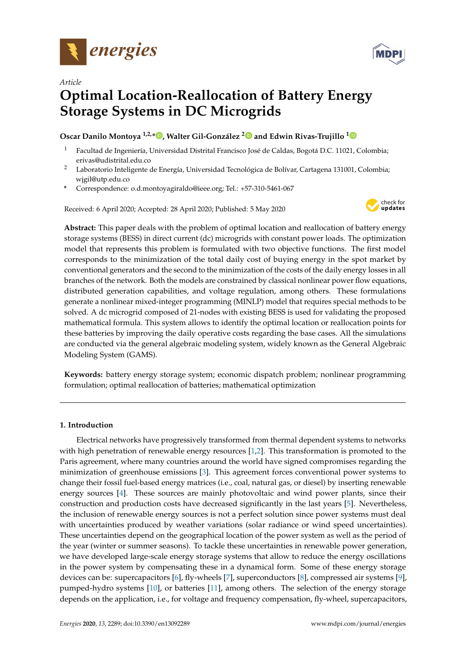

*Article*



# **Optimal Location-Reallocation of Battery Energy Storage Systems in DC Microgrids**

# **Oscar Danilo Montoya 1,2,\* [,](https://orcid.org/0000-0001-6051-4925) Walter Gil-González [2](https://orcid.org/0000-0001-7609-1197) and Edwin Rivas-Trujillo [1](https://orcid.org/0000-0003-2372-8056)**

- <sup>1</sup> Facultad de Ingeniería, Universidad Distrital Francisco José de Caldas, Bogotá D.C. 11021, Colombia; erivas@udistrital.edu.co
- <sup>2</sup> Laboratorio Inteligente de Energía, Universidad Tecnológica de Bolívar, Cartagena 131001, Colombia; wjgil@utp.edu.co
- **\*** Correspondence: o.d.montoyagiraldo@ieee.org; Tel.: +57-310-5461-067

Received: 6 April 2020; Accepted: 28 April 2020; Published: 5 May 2020



**Abstract:** This paper deals with the problem of optimal location and reallocation of battery energy storage systems (BESS) in direct current (dc) microgrids with constant power loads. The optimization model that represents this problem is formulated with two objective functions. The first model corresponds to the minimization of the total daily cost of buying energy in the spot market by conventional generators and the second to the minimization of the costs of the daily energy losses in all branches of the network. Both the models are constrained by classical nonlinear power flow equations, distributed generation capabilities, and voltage regulation, among others. These formulations generate a nonlinear mixed-integer programming (MINLP) model that requires special methods to be solved. A dc microgrid composed of 21-nodes with existing BESS is used for validating the proposed mathematical formula. This system allows to identify the optimal location or reallocation points for these batteries by improving the daily operative costs regarding the base cases. All the simulations are conducted via the general algebraic modeling system, widely known as the General Algebraic Modeling System (GAMS).

**Keywords:** battery energy storage system; economic dispatch problem; nonlinear programming formulation; optimal reallocation of batteries; mathematical optimization

# **1. Introduction**

Electrical networks have progressively transformed from thermal dependent systems to networks with high penetration of renewable energy resources [\[1,](#page-17-0)[2\]](#page-17-1). This transformation is promoted to the Paris agreement, where many countries around the world have signed compromises regarding the minimization of greenhouse emissions [\[3\]](#page-17-2). This agreement forces conventional power systems to change their fossil fuel-based energy matrices (i.e., coal, natural gas, or diesel) by inserting renewable energy sources [\[4\]](#page-17-3). These sources are mainly photovoltaic and wind power plants, since their construction and production costs have decreased significantly in the last years [\[5\]](#page-17-4). Nevertheless, the inclusion of renewable energy sources is not a perfect solution since power systems must deal with uncertainties produced by weather variations (solar radiance or wind speed uncertainties). These uncertainties depend on the geographical location of the power system as well as the period of the year (winter or summer seasons). To tackle these uncertainties in renewable power generation, we have developed large-scale energy storage systems that allow to reduce the energy oscillations in the power system by compensating these in a dynamical form. Some of these energy storage devices can be: supercapacitors [\[6\]](#page-17-5), fly-wheels [\[7\]](#page-17-6), superconductors [\[8\]](#page-17-7), compressed air systems [\[9\]](#page-17-8), pumped-hydro systems [\[10\]](#page-17-9), or batteries [\[11\]](#page-17-10), among others. The selection of the energy storage depends on the application, i.e., for voltage and frequency compensation, fly-wheel, supercapacitors,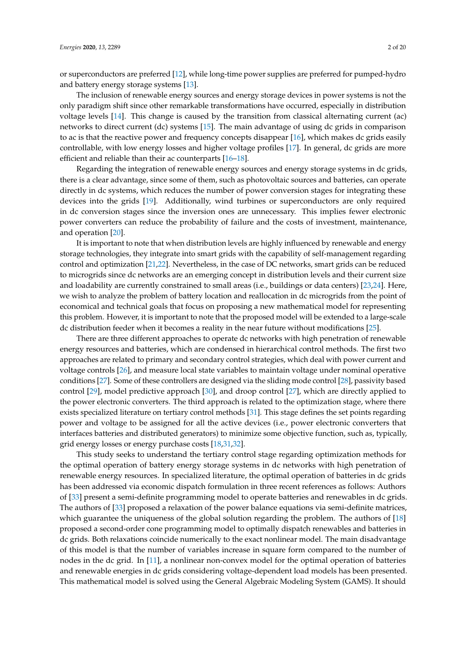or superconductors are preferred [\[12\]](#page-17-11), while long-time power supplies are preferred for pumped-hydro and battery energy storage systems [\[13\]](#page-17-12).

The inclusion of renewable energy sources and energy storage devices in power systems is not the only paradigm shift since other remarkable transformations have occurred, especially in distribution voltage levels [\[14\]](#page-17-13). This change is caused by the transition from classical alternating current (ac) networks to direct current (dc) systems [\[15\]](#page-17-14). The main advantage of using dc grids in comparison to ac is that the reactive power and frequency concepts disappear [\[16\]](#page-17-15), which makes dc grids easily controllable, with low energy losses and higher voltage profiles [\[17\]](#page-17-16). In general, dc grids are more efficient and reliable than their ac counterparts [\[16–](#page-17-15)[18\]](#page-17-17).

Regarding the integration of renewable energy sources and energy storage systems in dc grids, there is a clear advantage, since some of them, such as photovoltaic sources and batteries, can operate directly in dc systems, which reduces the number of power conversion stages for integrating these devices into the grids [\[19\]](#page-17-18). Additionally, wind turbines or superconductors are only required in dc conversion stages since the inversion ones are unnecessary. This implies fewer electronic power converters can reduce the probability of failure and the costs of investment, maintenance, and operation [\[20\]](#page-17-19).

It is important to note that when distribution levels are highly influenced by renewable and energy storage technologies, they integrate into smart grids with the capability of self-management regarding control and optimization [\[21](#page-17-20)[,22\]](#page-18-0). Nevertheless, in the case of DC networks, smart grids can be reduced to microgrids since dc networks are an emerging concept in distribution levels and their current size and loadability are currently constrained to small areas (i.e., buildings or data centers) [\[23,](#page-18-1)[24\]](#page-18-2). Here, we wish to analyze the problem of battery location and reallocation in dc microgrids from the point of economical and technical goals that focus on proposing a new mathematical model for representing this problem. However, it is important to note that the proposed model will be extended to a large-scale dc distribution feeder when it becomes a reality in the near future without modifications [\[25\]](#page-18-3).

There are three different approaches to operate dc networks with high penetration of renewable energy resources and batteries, which are condensed in hierarchical control methods. The first two approaches are related to primary and secondary control strategies, which deal with power current and voltage controls [\[26\]](#page-18-4), and measure local state variables to maintain voltage under nominal operative conditions [\[27\]](#page-18-5). Some of these controllers are designed via the sliding mode control [\[28\]](#page-18-6), passivity based control [\[29\]](#page-18-7), model predictive approach [\[30\]](#page-18-8), and droop control [\[27\]](#page-18-5), which are directly applied to the power electronic converters. The third approach is related to the optimization stage, where there exists specialized literature on tertiary control methods [\[31\]](#page-18-9). This stage defines the set points regarding power and voltage to be assigned for all the active devices (i.e., power electronic converters that interfaces batteries and distributed generators) to minimize some objective function, such as, typically, grid energy losses or energy purchase costs [\[18,](#page-17-17)[31,](#page-18-9)[32\]](#page-18-10).

This study seeks to understand the tertiary control stage regarding optimization methods for the optimal operation of battery energy storage systems in dc networks with high penetration of renewable energy resources. In specialized literature, the optimal operation of batteries in dc grids has been addressed via economic dispatch formulation in three recent references as follows: Authors of [\[33\]](#page-18-11) present a semi-definite programming model to operate batteries and renewables in dc grids. The authors of [\[33\]](#page-18-11) proposed a relaxation of the power balance equations via semi-definite matrices, which guarantee the uniqueness of the global solution regarding the problem. The authors of [\[18\]](#page-17-17) proposed a second-order cone programming model to optimally dispatch renewables and batteries in dc grids. Both relaxations coincide numerically to the exact nonlinear model. The main disadvantage of this model is that the number of variables increase in square form compared to the number of nodes in the dc grid. In [\[11\]](#page-17-10), a nonlinear non-convex model for the optimal operation of batteries and renewable energies in dc grids considering voltage-dependent load models has been presented. This mathematical model is solved using the General Algebraic Modeling System (GAMS). It should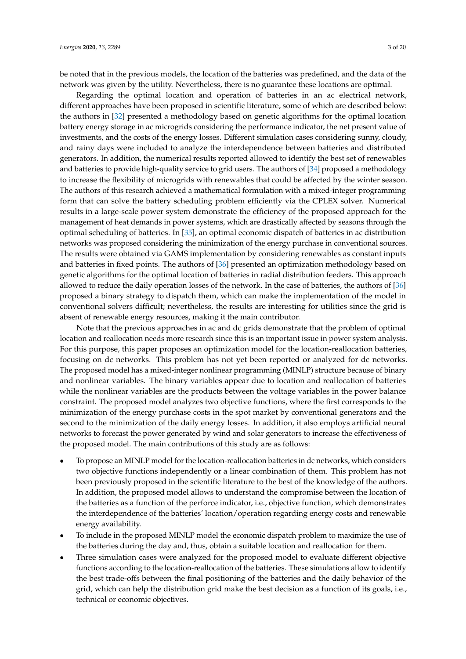be noted that in the previous models, the location of the batteries was predefined, and the data of the network was given by the utility. Nevertheless, there is no guarantee these locations are optimal.

Regarding the optimal location and operation of batteries in an ac electrical network, different approaches have been proposed in scientific literature, some of which are described below: the authors in [\[32\]](#page-18-10) presented a methodology based on genetic algorithms for the optimal location battery energy storage in ac microgrids considering the performance indicator, the net present value of investments, and the costs of the energy losses. Different simulation cases considering sunny, cloudy, and rainy days were included to analyze the interdependence between batteries and distributed generators. In addition, the numerical results reported allowed to identify the best set of renewables and batteries to provide high-quality service to grid users. The authors of [\[34\]](#page-18-12) proposed a methodology to increase the flexibility of microgrids with renewables that could be affected by the winter season. The authors of this research achieved a mathematical formulation with a mixed-integer programming form that can solve the battery scheduling problem efficiently via the CPLEX solver. Numerical results in a large-scale power system demonstrate the efficiency of the proposed approach for the management of heat demands in power systems, which are drastically affected by seasons through the optimal scheduling of batteries. In [\[35\]](#page-18-13), an optimal economic dispatch of batteries in ac distribution networks was proposed considering the minimization of the energy purchase in conventional sources. The results were obtained via GAMS implementation by considering renewables as constant inputs and batteries in fixed points. The authors of [\[36\]](#page-18-14) presented an optimization methodology based on genetic algorithms for the optimal location of batteries in radial distribution feeders. This approach allowed to reduce the daily operation losses of the network. In the case of batteries, the authors of [\[36\]](#page-18-14) proposed a binary strategy to dispatch them, which can make the implementation of the model in conventional solvers difficult; nevertheless, the results are interesting for utilities since the grid is absent of renewable energy resources, making it the main contributor.

Note that the previous approaches in ac and dc grids demonstrate that the problem of optimal location and reallocation needs more research since this is an important issue in power system analysis. For this purpose, this paper proposes an optimization model for the location-reallocation batteries, focusing on dc networks. This problem has not yet been reported or analyzed for dc networks. The proposed model has a mixed-integer nonlinear programming (MINLP) structure because of binary and nonlinear variables. The binary variables appear due to location and reallocation of batteries while the nonlinear variables are the products between the voltage variables in the power balance constraint. The proposed model analyzes two objective functions, where the first corresponds to the minimization of the energy purchase costs in the spot market by conventional generators and the second to the minimization of the daily energy losses. In addition, it also employs artificial neural networks to forecast the power generated by wind and solar generators to increase the effectiveness of the proposed model. The main contributions of this study are as follows:

- To propose an MINLP model for the location-reallocation batteries in dc networks, which considers two objective functions independently or a linear combination of them. This problem has not been previously proposed in the scientific literature to the best of the knowledge of the authors. In addition, the proposed model allows to understand the compromise between the location of the batteries as a function of the perforce indicator, i.e., objective function, which demonstrates the interdependence of the batteries' location/operation regarding energy costs and renewable energy availability.
- To include in the proposed MINLP model the economic dispatch problem to maximize the use of the batteries during the day and, thus, obtain a suitable location and reallocation for them.
- Three simulation cases were analyzed for the proposed model to evaluate different objective functions according to the location-reallocation of the batteries. These simulations allow to identify the best trade-offs between the final positioning of the batteries and the daily behavior of the grid, which can help the distribution grid make the best decision as a function of its goals, i.e., technical or economic objectives.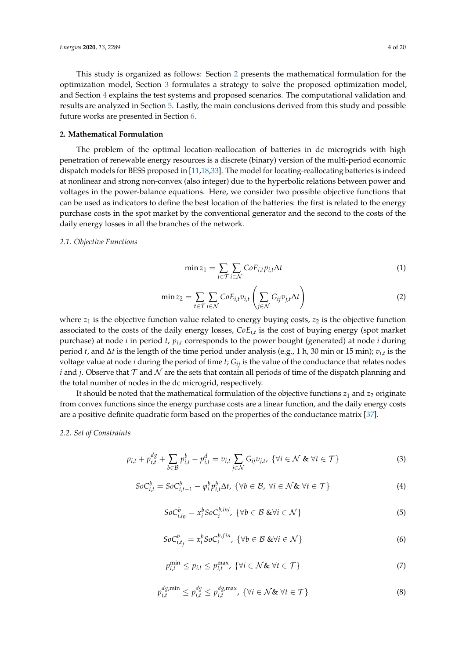This study is organized as follows: Section [2](#page-3-0) presents the mathematical formulation for the optimization model, Section [3](#page-5-0) formulates a strategy to solve the proposed optimization model, and Section [4](#page-9-0) explains the test systems and proposed scenarios. The computational validation and results are analyzed in Section [5.](#page-11-0) Lastly, the main conclusions derived from this study and possible future works are presented in Section [6.](#page-15-0)

#### <span id="page-3-0"></span>**2. Mathematical Formulation**

The problem of the optimal location-reallocation of batteries in dc microgrids with high penetration of renewable energy resources is a discrete (binary) version of the multi-period economic dispatch models for BESS proposed in [\[11,](#page-17-10)[18](#page-17-17)[,33\]](#page-18-11). The model for locating-reallocating batteries is indeed at nonlinear and strong non-convex (also integer) due to the hyperbolic relations between power and voltages in the power-balance equations. Here, we consider two possible objective functions that can be used as indicators to define the best location of the batteries: the first is related to the energy purchase costs in the spot market by the conventional generator and the second to the costs of the daily energy losses in all the branches of the network.

#### *2.1. Objective Functions*

<span id="page-3-1"></span>
$$
\min z_1 = \sum_{t \in \mathcal{T}} \sum_{i \in \mathcal{N}} \mathcal{C} \circ E_{i,t} p_{i,t} \Delta t \tag{1}
$$

<span id="page-3-2"></span>
$$
\min z_2 = \sum_{t \in \mathcal{T}} \sum_{i \in \mathcal{N}} \text{CoE}_{i,t} v_{i,t} \left( \sum_{j \in \mathcal{N}} G_{ij} v_{j,t} \Delta t \right) \tag{2}
$$

where  $z_1$  is the objective function value related to energy buying costs,  $z_2$  is the objective function associated to the costs of the daily energy losses, *CoEi*,*<sup>t</sup>* is the cost of buying energy (spot market purchase) at node *i* in period *t*, *pi*,*<sup>t</sup>* corresponds to the power bought (generated) at node *i* during period *t*, and ∆*t* is the length of the time period under analysis (e.g., 1 h, 30 min or 15 min); *vi*,*<sup>t</sup>* is the voltage value at node *i* during the period of time *t*; *Gij* is the value of the conductance that relates nodes *i* and *j*. Observe that  $\mathcal T$  and  $\mathcal N$  are the sets that contain all periods of time of the dispatch planning and the total number of nodes in the dc microgrid, respectively.

It should be noted that the mathematical formulation of the objective functions  $z_1$  and  $z_2$  originate from convex functions since the energy purchase costs are a linear function, and the daily energy costs are a positive definite quadratic form based on the properties of the conductance matrix [\[37\]](#page-18-15).

#### *2.2. Set of Constraints*

<span id="page-3-3"></span>
$$
p_{i,t} + p_{i,t}^{dg} + \sum_{b \in \mathcal{B}} p_{i,t}^b - p_{i,t}^d = v_{i,t} \sum_{j \in \mathcal{N}} G_{ij} v_{j,t}, \ \{\forall i \in \mathcal{N} \ \& \ \forall t \in \mathcal{T}\}
$$
 (3)

<span id="page-3-4"></span>
$$
SoC_{i,t}^{b} = SoC_{i,t-1}^{b} - \varphi_i^{b} p_{i,t}^{b} \Delta t, \ \{\forall b \in \mathcal{B}, \ \forall i \in \mathcal{N} \& \ \forall t \in \mathcal{T}\}\tag{4}
$$

<span id="page-3-5"></span>
$$
SoC_{i,t_0}^b = x_i^b SoC_i^{b,ini}, \ \{\forall b \in \mathcal{B} \ \& \forall i \in \mathcal{N}\}\tag{5}
$$

<span id="page-3-6"></span>
$$
SoC_{i,t_f}^b = x_i^b SoC_i^{b,fin}, \{\forall b \in \mathcal{B} \& \forall i \in \mathcal{N}\}\tag{6}
$$

<span id="page-3-7"></span>
$$
p_{i,t}^{\min} \le p_{i,t} \le p_{i,t}^{\max}, \ \{ \forall i \in \mathcal{N} \& \ \forall t \in \mathcal{T} \}
$$

$$
p_{i,t}^{dg,\min} \le p_{i,t}^{dg} \le p_{i,t}^{dg,\max}, \ \{\forall i \in \mathcal{N} \& \ \forall t \in \mathcal{T}\}
$$
 (8)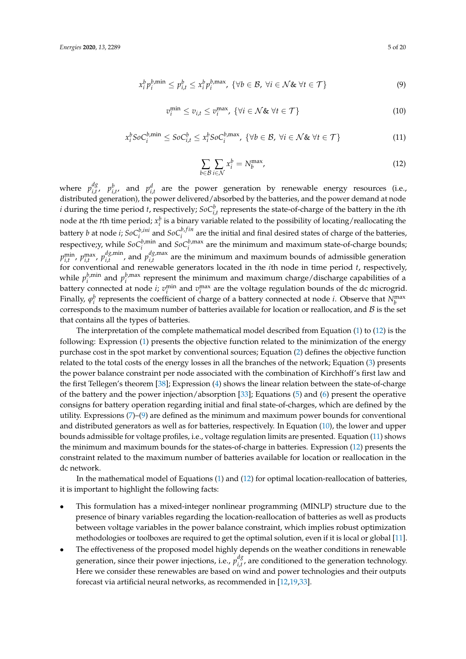<span id="page-4-1"></span>
$$
x_i^b p_i^{b,\min} \le p_{i,t}^b \le x_i^b p_i^{b,\max}, \ \{\forall b \in \mathcal{B}, \ \forall i \in \mathcal{N} \& \ \forall t \in \mathcal{T}\}
$$
 (9)

<span id="page-4-2"></span>
$$
v_i^{\min} \le v_{i,t} \le v_i^{\max}, \ \{ \forall i \in \mathcal{N} \& \ \forall t \in \mathcal{T} \}
$$
 (10)

<span id="page-4-3"></span>
$$
x_i^b \text{SoC}_i^{b,\min} \leq \text{SoC}_{i,t}^b \leq x_i^b \text{SoC}_i^{b,\max}, \ \{ \forall b \in \mathcal{B}, \ \forall i \in \mathcal{N} \& \ \forall t \in \mathcal{T} \}
$$
 (11)

<span id="page-4-0"></span>
$$
\sum_{b \in \mathcal{B}} \sum_{i \in \mathcal{N}} x_i^b = N_b^{\max},\tag{12}
$$

where  $p_{i}^{dg}$  $\mu_{i,t}^g$ ,  $p_{i,t'}^b$  and  $p_{i,t}^d$  are the power generation by renewable energy resources (i.e., distributed generation), the power delivered/absorbed by the batteries, and the power demand at node *i* during the time period *t*, respectively;  $SoC^{b}_{i,t}$  represents the state-of-charge of the battery in the *i*th node at the *t*th time period;  $x_i^b$  is a binary variable related to the possibility of locating/reallocating the battery *b* at node *i*;  $\delta$ *oC*<sup>*b*,*ini*</sup> and  $\delta$ *oC*<sup>*b*,*fin*</sup> are the initial and final desired states of charge of the batteries, respective;y, while  $SoC_i^{b,\min}$  and  $SoC_i^{b,\max}$  are the minimum and maximum state-of-charge bounds;  $p_{i,t}^{\min}$ ,  $p_{i,t}^{\max}$ ,  $p_{i,t}^{dg,min}$  $_{i,t}^{dg, \text{min}}$ , and  $p_{i,t}^{dg, \text{max}}$  $\int_{i,t}^{u_{\mathcal{S}},\text{max}}$  are the minimum and maximum bounds of admissible generation for conventional and renewable generators located in the *i*th node in time period *t*, respectively, while  $p_j^{b, \text{min}}$  $\binom{b,\text{min}}{i}$  and  $p_i^{b,\text{max}}$  $\sum_{i}^{p, \max}$  represent the minimum and maximum charge/discharge capabilities of a battery connected at node *i*;  $v_i^{\text{min}}$  and  $v_i^{\text{max}}$  are the voltage regulation bounds of the dc microgrid. Finally,  $\varphi_i^b$  represents the coefficient of charge of a battery connected at node *i*. Observe that  $N_b^{\max}$ corresponds to the maximum number of batteries available for location or reallocation, and  $B$  is the set that contains all the types of batteries.

The interpretation of the complete mathematical model described from Equation [\(1\)](#page-3-1) to [\(12\)](#page-4-0) is the following: Expression [\(1\)](#page-3-1) presents the objective function related to the minimization of the energy purchase cost in the spot market by conventional sources; Equation [\(2\)](#page-3-2) defines the objective function related to the total costs of the energy losses in all the branches of the network; Equation [\(3\)](#page-3-3) presents the power balance constraint per node associated with the combination of Kirchhoff's first law and the first Tellegen's theorem [\[38\]](#page-18-16); Expression [\(4\)](#page-3-4) shows the linear relation between the state-of-charge of the battery and the power injection/absorption [\[33\]](#page-18-11); Equations [\(5\)](#page-3-5) and [\(6\)](#page-3-6) present the operative consigns for battery operation regarding initial and final state-of-charges, which are defined by the utility. Expressions  $(7)-(9)$  $(7)-(9)$  $(7)-(9)$  are defined as the minimum and maximum power bounds for conventional and distributed generators as well as for batteries, respectively. In Equation [\(10\)](#page-4-2), the lower and upper bounds admissible for voltage profiles, i.e., voltage regulation limits are presented. Equation [\(11\)](#page-4-3) shows the minimum and maximum bounds for the states-of-charge in batteries. Expression [\(12\)](#page-4-0) presents the constraint related to the maximum number of batteries available for location or reallocation in the dc network.

In the mathematical model of Equations [\(1\)](#page-3-1) and [\(12\)](#page-4-0) for optimal location-reallocation of batteries, it is important to highlight the following facts:

- This formulation has a mixed-integer nonlinear programming (MINLP) structure due to the presence of binary variables regarding the location-reallocation of batteries as well as products between voltage variables in the power balance constraint, which implies robust optimization methodologies or toolboxes are required to get the optimal solution, even if it is local or global [\[11\]](#page-17-10).
- The effectiveness of the proposed model highly depends on the weather conditions in renewable generation, since their power injections, i.e., *p dg*  $i_{i,t}^{\text{u}_g}$ , are conditioned to the generation technology. Here we consider these renewables are based on wind and power technologies and their outputs forecast via artificial neural networks, as recommended in [\[12](#page-17-11)[,19](#page-17-18)[,33\]](#page-18-11).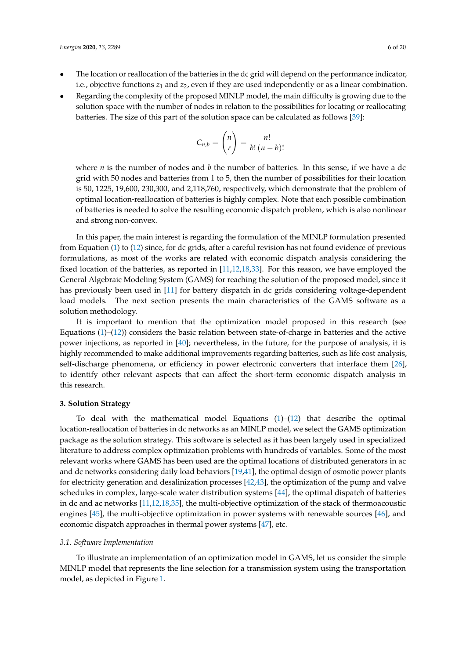- The location or reallocation of the batteries in the dc grid will depend on the performance indicator, i.e., objective functions  $z_1$  and  $z_2$ , even if they are used independently or as a linear combination.
- Regarding the complexity of the proposed MINLP model, the main difficulty is growing due to the solution space with the number of nodes in relation to the possibilities for locating or reallocating batteries. The size of this part of the solution space can be calculated as follows [\[39\]](#page-18-17):

$$
C_{n,b} = \binom{n}{r} = \frac{n!}{b! \ (n-b)!}
$$

where *n* is the number of nodes and *b* the number of batteries. In this sense, if we have a dc grid with 50 nodes and batteries from 1 to 5, then the number of possibilities for their location is 50, 1225, 19,600, 230,300, and 2,118,760, respectively, which demonstrate that the problem of optimal location-reallocation of batteries is highly complex. Note that each possible combination of batteries is needed to solve the resulting economic dispatch problem, which is also nonlinear and strong non-convex.

In this paper, the main interest is regarding the formulation of the MINLP formulation presented from Equation [\(1\)](#page-3-1) to [\(12\)](#page-4-0) since, for dc grids, after a careful revision has not found evidence of previous formulations, as most of the works are related with economic dispatch analysis considering the fixed location of the batteries, as reported in [\[11](#page-17-10)[,12](#page-17-11)[,18](#page-17-17)[,33\]](#page-18-11). For this reason, we have employed the General Algebraic Modeling System (GAMS) for reaching the solution of the proposed model, since it has previously been used in [\[11\]](#page-17-10) for battery dispatch in dc grids considering voltage-dependent load models. The next section presents the main characteristics of the GAMS software as a solution methodology.

It is important to mention that the optimization model proposed in this research (see Equations  $(1)$ – $(12)$ ) considers the basic relation between state-of-charge in batteries and the active power injections, as reported in [\[40\]](#page-18-18); nevertheless, in the future, for the purpose of analysis, it is highly recommended to make additional improvements regarding batteries, such as life cost analysis, self-discharge phenomena, or efficiency in power electronic converters that interface them [\[26\]](#page-18-4), to identify other relevant aspects that can affect the short-term economic dispatch analysis in this research.

#### <span id="page-5-0"></span>**3. Solution Strategy**

To deal with the mathematical model Equations [\(1\)](#page-3-1)–[\(12\)](#page-4-0) that describe the optimal location-reallocation of batteries in dc networks as an MINLP model, we select the GAMS optimization package as the solution strategy. This software is selected as it has been largely used in specialized literature to address complex optimization problems with hundreds of variables. Some of the most relevant works where GAMS has been used are the optimal locations of distributed generators in ac and dc networks considering daily load behaviors [\[19,](#page-17-18)[41\]](#page-18-19), the optimal design of osmotic power plants for electricity generation and desalinization processes [\[42](#page-19-0)[,43\]](#page-19-1), the optimization of the pump and valve schedules in complex, large-scale water distribution systems [\[44\]](#page-19-2), the optimal dispatch of batteries in dc and ac networks [\[11](#page-17-10)[,12](#page-17-11)[,18](#page-17-17)[,35\]](#page-18-13), the multi-objective optimization of the stack of thermoacoustic engines [\[45\]](#page-19-3), the multi-objective optimization in power systems with renewable sources [\[46\]](#page-19-4), and economic dispatch approaches in thermal power systems [\[47\]](#page-19-5), etc.

#### *3.1. Software Implementation*

To illustrate an implementation of an optimization model in GAMS, let us consider the simple MINLP model that represents the line selection for a transmission system using the transportation model, as depicted in Figure [1.](#page-6-0)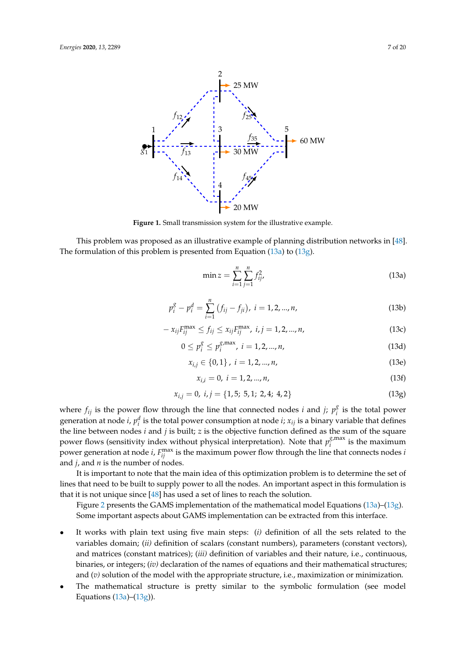<span id="page-6-0"></span>

**Figure 1.** Small transmission system for the illustrative example.

This problem was proposed as an illustrative example of planning distribution networks in [\[48\]](#page-19-6). The formulation of this problem is presented from Equation [\(13a\)](#page-6-1) to [\(13g\)](#page-6-2).

<span id="page-6-1"></span>
$$
\min z = \sum_{i=1}^{n} \sum_{j=1}^{n} f_{ij}^{2},
$$
\n(13a)

$$
p_i^g - p_i^d = \sum_{i=1}^n (f_{ij} - f_{ji}), \ i = 1, 2, ..., n,
$$
 (13b)

$$
-x_{ij}F_{ij}^{\max} \le f_{ij} \le x_{ij}F_{ij}^{\max}, i,j = 1,2,...,n,
$$
\n(13c)

$$
0 \le p_i^g \le p_i^{g,\max}, \ i = 1, 2, ..., n,
$$
\n(13d)

$$
x_{i,j} \in \{0,1\}, i = 1,2,...,n,
$$
\n(13e)

$$
x_{i,i} = 0, \ i = 1, 2, ..., n,
$$
\n(13f)

<span id="page-6-2"></span>
$$
x_{i,j} = 0, i, j = \{1, 5; 5, 1; 2, 4; 4, 2\}
$$
\n(13g)

where  $f_{ij}$  is the power flow through the line that connected nodes *i* and *j*;  $p_i^g$  $\frac{8}{i}$  is the total power generation at node *i*,  $p_i^d$  is the total power consumption at node *i*;  $x_{ij}$  is a binary variable that defines the line between nodes *i* and *j* is built; *z* is the objective function defined as the sum of the square power flows (sensitivity index without physical interpretation). Note that  $p_i^{g,\text{max}}$  $i$ <sup>s, indx</sup> is the maximum power generation at node *i*,  $F_{ij}^{\text{max}}$  is the maximum power flow through the line that connects nodes *i* and *j*, and *n* is the number of nodes.

It is important to note that the main idea of this optimization problem is to determine the set of lines that need to be built to supply power to all the nodes. An important aspect in this formulation is that it is not unique since [\[48\]](#page-19-6) has used a set of lines to reach the solution.

Figure [2](#page-7-0) presents the GAMS implementation of the mathematical model Equations [\(13a\)](#page-6-1)–[\(13g\)](#page-6-2). Some important aspects about GAMS implementation can be extracted from this interface.

- It works with plain text using five main steps: (*i)* definition of all the sets related to the variables domain; (*ii)* definition of scalars (constant numbers), parameters (constant vectors), and matrices (constant matrices); (*iii)* definition of variables and their nature, i.e., continuous, binaries, or integers; (*iv)* declaration of the names of equations and their mathematical structures; and (*v)* solution of the model with the appropriate structure, i.e., maximization or minimization.
- The mathematical structure is pretty similar to the symbolic formulation (see model Equations  $(13a)$ – $(13g)$ ).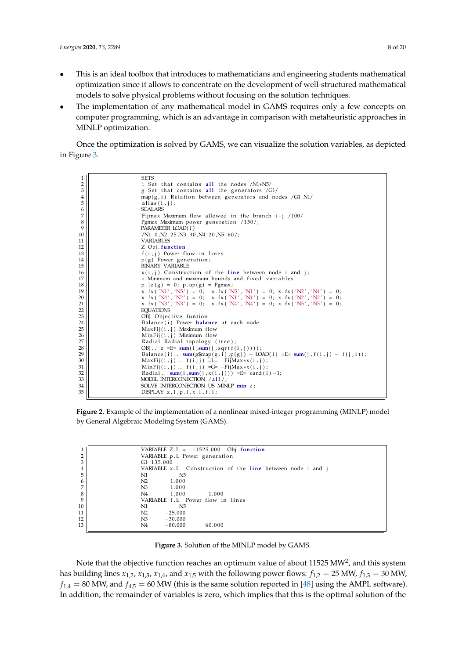- This is an ideal toolbox that introduces to mathematicians and engineering students mathematical optimization since it allows to concentrate on the development of well-structured mathematical models to solve physical problems without focusing on the solution techniques.
- The implementation of any mathematical model in GAMS requires only a few concepts on computer programming, which is an advantage in comparison with metaheuristic approaches in MINLP optimization.

Once the optimization is solved by GAMS, we can visualize the solution variables, as depicted in Figure [3.](#page-7-1)

<span id="page-7-0"></span>

**Figure 2.** Example of the implementation of a nonlinear mixed-integer programming (MINLP) model  $S_{\text{S}}$  is about the usure  $\beta$  by extracted from the extracted from the extracted from this interface. by General Algebraic Modeling System (GAMS).

<span id="page-7-1"></span>

| VARIABLE $Z.L = 11525.000$ Obj. function                     |
|--------------------------------------------------------------|
| VARIABLE p.L Power generation                                |
| G1 135.000                                                   |
| VARIABLE $x.L$ Construction of the line between node i and j |
| N1<br>N5                                                     |
| N <sub>2</sub><br>1.000                                      |
| N <sub>3</sub><br>1.000                                      |
| N4<br>1.000<br>1.000                                         |
| VARIABLE f.L Power flow in lines                             |
| N5<br>N1                                                     |
| N <sub>2</sub><br>$-25.000$                                  |
| N3<br>$-30.000$                                              |
| N <sub>4</sub><br>$-80.000$<br>60.000                        |

**Figure 3.** Solution of the MINLP model by GAMS. MINLP optimization.

Note that the objective function reaches an optimum value of about  $11525 \text{ MW}^2$ , and this system  $\lim_{x \to a}$  lines *x*<sub>1,2</sub>, *x*<sub>1,3</sub>, *x*<sub>1,4</sub>, and *x*<sub>1,5</sub> with the following power flows: *f*<sub>1,2</sub> = 25 MW, *f*<sub>1,3</sub> = 30 has building lines  $x_{1,2}$ ,  $x_{1,3}$ ,  $x_{1,4}$ , and  $x_{1,5}$  with the following power flows:  $f_{1,2} = 25$  MW,  $f_{1,3} = 30$  MW,  $f_{1,4} = 80$  MW, and  $f_{4,5} = 60$  MW (this is the same solution reported in [\[48\]](#page-19-6) using the AMPL software). In addition, the remainder of variables is zero, which implies that this is the optimal solution of the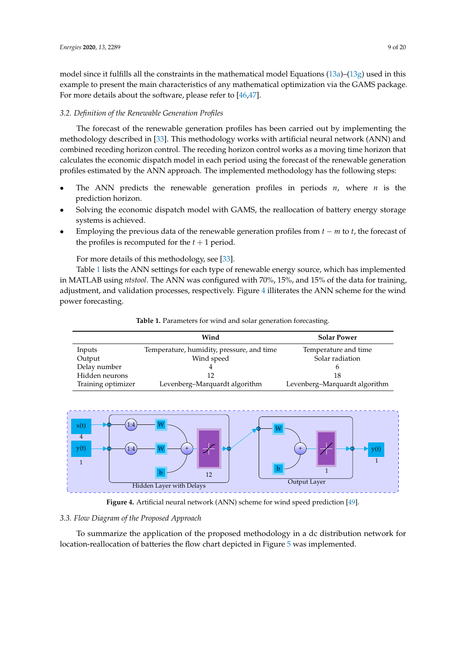model since it fulfills all the constraints in the mathematical model Equations  $(13a)$ – $(13g)$  used in this example to present the main characteristics of any mathematical optimization via the GAMS package. For more details about the software, please refer to [\[46](#page-19-4)[,47\]](#page-19-5).

#### *3.2. Definition of the Renewable Generation Profiles*

The forecast of the renewable generation profiles has been carried out by implementing the methodology described in [\[33\]](#page-18-11). This methodology works with artificial neural network (ANN) and combined receding horizon control. The receding horizon control works as a moving time horizon that calculates the economic dispatch model in each period using the forecast of the renewable generation profiles estimated by the ANN approach. The implemented methodology has the following steps:

- The ANN predicts the renewable generation profiles in periods  $n$ , where  $n$  is the prediction horizon.
- Solving the economic dispatch model with GAMS, the reallocation of battery energy storage systems is achieved.
- Employing the previous data of the renewable generation profiles from *t* − *m* to *t*, the forecast of the profiles is recomputed for the  $t + 1$  period.

For more details of this methodology, see [\[33\]](#page-18-11).

Table [1](#page-8-0) lists the ANN settings for each type of renewable energy source, which has implemented in MATLAB using *ntstool*. The ANN was configured with 70%, 15%, and 15% of the data for training, adjustment, and validation processes, respectively. Figure [4](#page-8-1) illiterates the ANN scheme for the wind power forecasting.

<span id="page-8-0"></span>

|                    | Wind                                      | <b>Solar Power</b>            |
|--------------------|-------------------------------------------|-------------------------------|
| Inputs             | Temperature, humidity, pressure, and time | Temperature and time          |
| Output             | Wind speed                                | Solar radiation               |
| Delay number       |                                           |                               |
| Hidden neurons     |                                           | 18                            |
| Training optimizer | Levenberg-Marquardt algorithm             | Levenberg-Marquardt algorithm |

**Table 1.** Parameters for wind and solar generation forecasting.

<span id="page-8-1"></span>

**Figure 4.** Artificial neural network (ANN) scheme for wind speed prediction [\[49\]](#page-19-7).

## *3.3. Flow Diagram of the Proposed Approach*

To summarize the application of the proposed methodology in a dc distribution network for location-reallocation of batteries the flow chart depicted in Figure [5](#page-9-1) was implemented.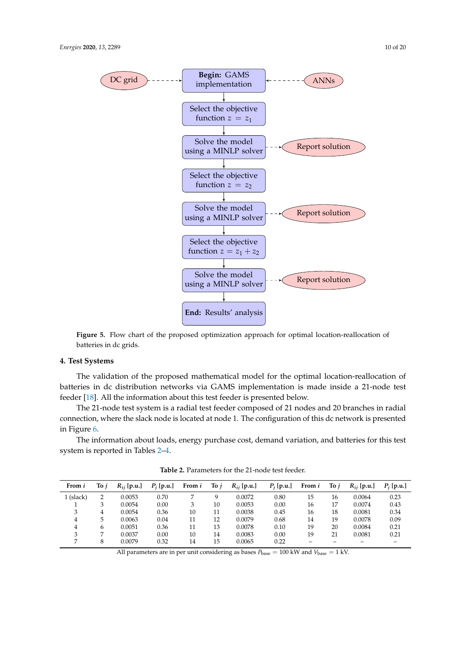<span id="page-9-1"></span>

**Figure 5.** Flow chart of the proposed optimization approach for optimal location-reallocation of batteries in dc grids.

## <span id="page-9-0"></span>**4. Test Systems**

The validation of the proposed mathematical model for the optimal location-reallocation of batteries in dc distribution networks via GAMS implementation is made inside a 21-node test feeder [\[18\]](#page-17-17). All the information about this test feeder is presented below.

The 21-node test system is a radial test feeder composed of 21 nodes and 20 branches in radial connection, where the slack node is located at node 1. The configuration of this dc network is presented in Figure [6.](#page-10-0)

The information about loads, energy purchase cost, demand variation, and batteries for this test system is reported in Tables [2](#page-9-2)[–4.](#page-10-1)

<span id="page-9-2"></span>

| From i    | To i           | $R_{ii}$ [p.u.] | $P_i$ [p.u.] | From i | To $i$ | $R_{ij}$ [p.u.] | $P_i$ [p.u.] | From i | Toj | $R_{ii}$ [p.u.] | $P_i$ [p.u.] |
|-----------|----------------|-----------------|--------------|--------|--------|-----------------|--------------|--------|-----|-----------------|--------------|
| 1 (slack) | $\overline{2}$ | 0.0053          | 0.70         |        | a      | 0.0072          | 0.80         | 15     | 16  | 0.0064          | 0.23         |
|           | 3              | 0.0054          | 0.00         | 3      | 10     | 0.0053          | 0.00         | 16     | 17  | 0.0074          | 0.43         |
| 3         | 4              | 0.0054          | 0.36         | 10     | 11     | 0.0038          | 0.45         | 16     | 18  | 0.0081          | 0.34         |
| 4         | 5.             | 0.0063          | 0.04         | 11     | 12     | 0.0079          | 0.68         | 14     | 19  | 0.0078          | 0.09         |
| 4         | 6              | 0.0051          | 0.36         | 11     | 13     | 0.0078          | 0.10         | 19     | 20  | 0.0084          | 0.21         |
|           |                | 0.0037          | 0.00         | 10     | 14     | 0.0083          | 0.00         | 19     | 21  | 0.0081          | 0.21         |
|           | 8              | 0.0079          | 0.32         | 14     | 15     | 0.0065          | 0.22         |        |     |                 |              |

**Table 2.** Parameters for the 21-node test feeder.

All parameters are in per unit considering as bases  $P_{base} = 100$  kW and  $V_{base} = 1$  kV.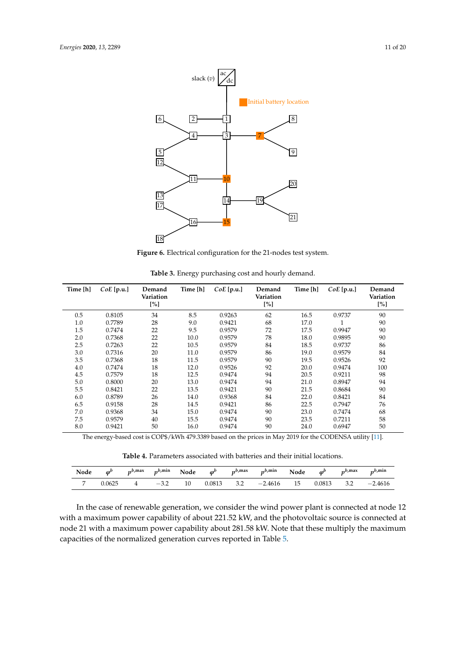<span id="page-10-0"></span>

**Figure 6.** Electrical configuration for the 21-nodes test system.

| Time [h] | $CoE$ [p.u.] | Demand<br>Variation<br>[%] | Time [h] | $CoE$ [p.u.] | Demand<br>Variation<br>[%] | Time [h] | $CoE$ [p.u.] | Demand<br>Variation<br>[%] |
|----------|--------------|----------------------------|----------|--------------|----------------------------|----------|--------------|----------------------------|
| 0.5      | 0.8105       | 34                         | 8.5      | 0.9263       | 62                         | 16.5     | 0.9737       | 90                         |
| 1.0      | 0.7789       | 28                         | 9.0      | 0.9421       | 68                         | 17.0     |              | 90                         |
| 1.5      | 0.7474       | 22                         | 9.5      | 0.9579       | 72                         | 17.5     | 0.9947       | 90                         |
| 2.0      | 0.7368       | 22                         | 10.0     | 0.9579       | 78                         | 18.0     | 0.9895       | 90                         |
| 2.5      | 0.7263       | 22                         | 10.5     | 0.9579       | 84                         | 18.5     | 0.9737       | 86                         |
| 3.0      | 0.7316       | 20                         | 11.0     | 0.9579       | 86                         | 19.0     | 0.9579       | 84                         |
| 3.5      | 0.7368       | 18                         | 11.5     | 0.9579       | 90                         | 19.5     | 0.9526       | 92                         |
| 4.0      | 0.7474       | 18                         | 12.0     | 0.9526       | 92                         | 20.0     | 0.9474       | 100                        |
| 4.5      | 0.7579       | 18                         | 12.5     | 0.9474       | 94                         | 20.5     | 0.9211       | 98                         |
| 5.0      | 0.8000       | 20                         | 13.0     | 0.9474       | 94                         | 21.0     | 0.8947       | 94                         |
| 5.5      | 0.8421       | 22                         | 13.5     | 0.9421       | 90                         | 21.5     | 0.8684       | 90                         |
| 6.0      | 0.8789       | 26                         | 14.0     | 0.9368       | 84                         | 22.0     | 0.8421       | 84                         |
| 6.5      | 0.9158       | 28                         | 14.5     | 0.9421       | 86                         | 22.5     | 0.7947       | 76                         |
| 7.0      | 0.9368       | 34                         | 15.0     | 0.9474       | 90                         | 23.0     | 0.7474       | 68                         |
| 7.5      | 0.9579       | 40                         | 15.5     | 0.9474       | 90                         | 23.5     | 0.7211       | 58                         |
| 8.0      | 0.9421       | 50                         | 16.0     | 0.9474       | 90                         | 24.0     | 0.6947       | 50                         |

**Table 3.** Energy purchasing cost and hourly demand.

The energy-based cost is COP\$/kWh 479.3389 based on the prices in May 2019 for the CODENSA utility [\[11\]](#page-17-10).

**Table 4.** Parameters associated with batteries and their initial locations.

<span id="page-10-1"></span>

| Node | $\boldsymbol{\omega}^{\boldsymbol{b}}$ | $p^{b, \max}$ | $p^{b, \min}$ | Node | $\varphi^b$ | $v^{b,max}$ | $p^{b, \min}$ | Node | $\boldsymbol{\varphi}^b$ | $n^{b, \max}$ | $n^{b, \min}$ |
|------|----------------------------------------|---------------|---------------|------|-------------|-------------|---------------|------|--------------------------|---------------|---------------|
|      | 0.0625                                 |               | $-3.2$        | 10   | 0.0813      | 3.2         | $-2.4616$     | 15   | 0.0813                   |               | $-2.4616$     |

In the case of renewable generation, we consider the wind power plant is connected at node 12 with a maximum power capability of about 221.52 kW, and the photovoltaic source is connected at node 21 with a maximum power capability about 281.58 kW. Note that these multiply the maximum capacities of the normalized generation curves reported in Table [5.](#page-11-1)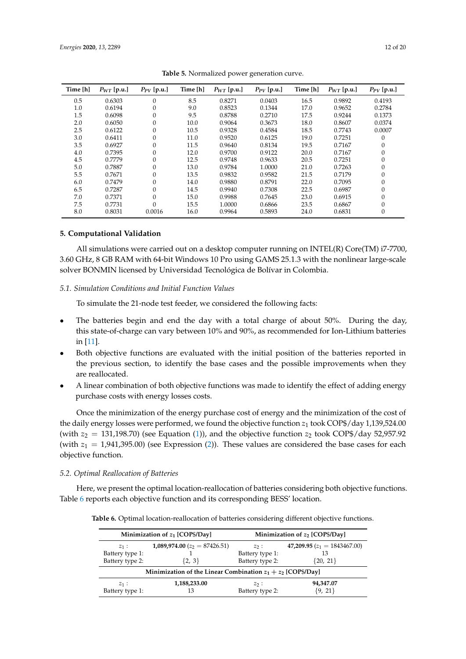<span id="page-11-1"></span>

| Time [h] | $P_{WT}$ [p.u.] | $P_{PV}$ [p.u.] | Time [h] | $P_{WT}$ [p.u.] | $P_{PV}$ [p.u.] | Time [h] | $P_{WT}$ [p.u.] | $P_{PV}$ [p.u.]  |
|----------|-----------------|-----------------|----------|-----------------|-----------------|----------|-----------------|------------------|
| 0.5      | 0.6303          | $\mathbf{0}$    | 8.5      | 0.8271          | 0.0403          | 16.5     | 0.9892          | 0.4193           |
| 1.0      | 0.6194          | $\theta$        | 9.0      | 0.8523          | 0.1344          | 17.0     | 0.9652          | 0.2784           |
| 1.5      | 0.6098          | $\theta$        | 9.5      | 0.8788          | 0.2710          | 17.5     | 0.9244          | 0.1373           |
| 2.0      | 0.6050          | $\theta$        | 10.0     | 0.9064          | 0.3673          | 18.0     | 0.8607          | 0.0374           |
| 2.5      | 0.6122          | $\theta$        | 10.5     | 0.9328          | 0.4584          | 18.5     | 0.7743          | 0.0007           |
| 3.0      | 0.6411          | $\theta$        | 11.0     | 0.9520          | 0.6125          | 19.0     | 0.7251          | $\mathbf{0}$     |
| 3.5      | 0.6927          | $\theta$        | 11.5     | 0.9640          | 0.8134          | 19.5     | 0.7167          | $\mathbf{0}$     |
| 4.0      | 0.7395          | $\theta$        | 12.0     | 0.9700          | 0.9122          | 20.0     | 0.7167          | 0                |
| 4.5      | 0.7779          | $\theta$        | 12.5     | 0.9748          | 0.9633          | 20.5     | 0.7251          | $\mathbf{0}$     |
| 5.0      | 0.7887          | $\mathbf{0}$    | 13.0     | 0.9784          | 1.0000          | 21.0     | 0.7263          | $\theta$         |
| 5.5      | 0.7671          | $\mathbf{0}$    | 13.5     | 0.9832          | 0.9582          | 21.5     | 0.7179          | $\mathbf{0}$     |
| 6.0      | 0.7479          | $\mathbf{0}$    | 14.0     | 0.9880          | 0.8791          | 22.0     | 0.7095          | $\mathbf{0}$     |
| 6.5      | 0.7287          | $\mathbf{0}$    | 14.5     | 0.9940          | 0.7308          | 22.5     | 0.6987          | $\mathbf{0}$     |
| 7.0      | 0.7371          | $\theta$        | 15.0     | 0.9988          | 0.7645          | 23.0     | 0.6915          | $\boldsymbol{0}$ |
| 7.5      | 0.7731          | $\Omega$        | 15.5     | 1.0000          | 0.6866          | 23.5     | 0.6867          | $\boldsymbol{0}$ |
| 8.0      | 0.8031          | 0.0016          | 16.0     | 0.9964          | 0.5893          | 24.0     | 0.6831          | $\theta$         |

**Table 5.** Normalized power generation curve.

## <span id="page-11-0"></span>**5. Computational Validation**

All simulations were carried out on a desktop computer running on INTEL(R) Core(TM) i7-7700, 3.60 GHz, 8 GB RAM with 64-bit Windows 10 Pro using GAMS 25.1.3 with the nonlinear large-scale solver BONMIN licensed by Universidad Tecnológica de Bolívar in Colombia.

## *5.1. Simulation Conditions and Initial Function Values*

To simulate the 21-node test feeder, we considered the following facts:

- The batteries begin and end the day with a total charge of about 50%. During the day, this state-of-charge can vary between 10% and 90%, as recommended for Ion-Lithium batteries in [\[11\]](#page-17-10).
- Both objective functions are evaluated with the initial position of the batteries reported in the previous section, to identify the base cases and the possible improvements when they are reallocated.
- A linear combination of both objective functions was made to identify the effect of adding energy purchase costs with energy losses costs.

Once the minimization of the energy purchase cost of energy and the minimization of the cost of the daily energy losses were performed, we found the objective function  $z_1$  took COP\$/day 1,139,524.00 (with  $z_2 = 131,198.70$ ) (see Equation [\(1\)](#page-3-1)), and the objective function  $z_2$  took COP\$/day 52,957.92 (with  $z_1 = 1.941,395.00$ ) (see Expression [\(2\)](#page-3-2)). These values are considered the base cases for each objective function.

# *5.2. Optimal Reallocation of Batteries*

<span id="page-11-2"></span>Here, we present the optimal location-reallocation of batteries considering both objective functions. Table [6](#page-11-2) reports each objective function and its corresponding BESS' location.

**Table 6.** Optimal location-reallocation of batteries considering different objective functions.

|                                               | Minimization of $z_1$ [COP\$/Day]                              | Minimization of z <sub>2</sub> [COP\$/Day]    |                                                      |  |
|-----------------------------------------------|----------------------------------------------------------------|-----------------------------------------------|------------------------------------------------------|--|
| $z_1$ :<br>Battery type 1:<br>Battery type 2: | 1,089,974.00 ( $z_2 = 87426.51$ )<br>$\{2, 3\}$                | $z_2$ :<br>Battery type 1:<br>Battery type 2: | 47,209.95 $(z_1 = 1843467.00)$<br>13<br>$\{20, 21\}$ |  |
|                                               | Minimization of the Linear Combination $z_1 + z_2$ [COP\$/Day] |                                               |                                                      |  |
| $z_1$ :<br>Battery type 1:                    | 1,188,233.00<br>13                                             | $z_2:$<br>Battery type 2:                     | 94,347.07<br>${9, 21}$                               |  |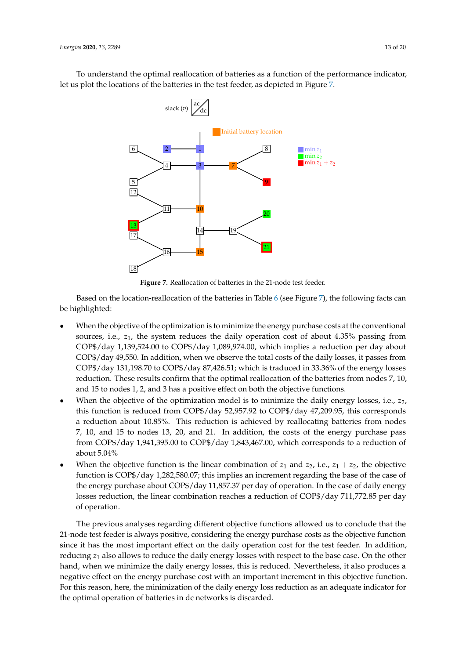<span id="page-12-0"></span>To understand the optimal reallocation of batteries as a function of the performance indicator, let us plot the locations of the batteries in the test feeder, as depicted in Figure [7.](#page-12-0)



**Figure 7.** Reallocation of batteries in the 21-node test feeder.

Based on the location-reallocation of the batteries in Table [6](#page-11-2) (see Figure [7\)](#page-12-0), the following facts can be highlighted:

- When the objective of the optimization is to minimize the energy purchase costs at the conventional sources, i.e., *z*1, the system reduces the daily operation cost of about 4.35% passing from COP\$/day 1,139,524.00 to COP\$/day 1,089,974.00, which implies a reduction per day about COP\$/day 49,550. In addition, when we observe the total costs of the daily losses, it passes from COP\$/day 131,198.70 to COP\$/day 87,426.51; which is traduced in 33.36% of the energy losses reduction. These results confirm that the optimal reallocation of the batteries from nodes 7, 10, and 15 to nodes 1, 2, and 3 has a positive effect on both the objective functions.
- When the objective of the optimization model is to minimize the daily energy losses, i.e., *z*2, this function is reduced from COP\$/day 52,957.92 to COP\$/day 47,209.95, this corresponds a reduction about 10.85%. This reduction is achieved by reallocating batteries from nodes 7, 10, and 15 to nodes 13, 20, and 21. In addition, the costs of the energy purchase pass from COP\$/day 1,941,395.00 to COP\$/day 1,843,467.00, which corresponds to a reduction of about 5.04%
- When the objective function is the linear combination of  $z_1$  and  $z_2$ , i.e.,  $z_1 + z_2$ , the objective function is COP\$/day 1,282,580.07; this implies an increment regarding the base of the case of the energy purchase about COP\$/day 11,857.37 per day of operation. In the case of daily energy losses reduction, the linear combination reaches a reduction of COP\$/day 711,772.85 per day of operation.

The previous analyses regarding different objective functions allowed us to conclude that the 21-node test feeder is always positive, considering the energy purchase costs as the objective function since it has the most important effect on the daily operation cost for the test feeder. In addition, reducing *z*<sup>1</sup> also allows to reduce the daily energy losses with respect to the base case. On the other hand, when we minimize the daily energy losses, this is reduced. Nevertheless, it also produces a negative effect on the energy purchase cost with an important increment in this objective function. For this reason, here, the minimization of the daily energy loss reduction as an adequate indicator for the optimal operation of batteries in dc networks is discarded.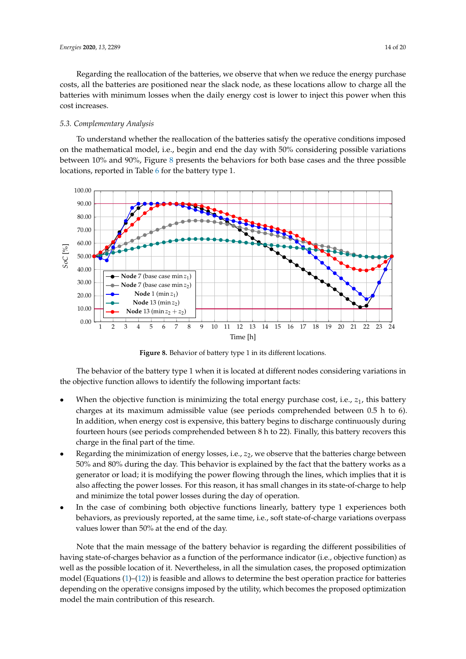Regarding the reallocation of the batteries, we observe that when we reduce the energy purchase costs, all the batteries are positioned near the slack node, as these locations allow to charge all the batteries with minimum losses when the daily energy cost is lower to inject this power when this cost increases.

## *5.3. Complementary Analysis*

To understand whether the reallocation of the batteries satisfy the operative conditions imposed on the mathematical model, i.e., begin and end the day with 50% considering possible variations between 10% and 90%, Figure [8](#page-13-0) presents the behaviors for both base cases and the three possible locations, reported in Table [6](#page-11-2) for the battery type 1.

<span id="page-13-0"></span>

**Figure 8.** Behavior of battery type 1 in its different locations.

The behavior of the battery type 1 when it is located at different nodes considering variations in the objective function allows to identify the following important facts:

- When the objective function is minimizing the total energy purchase cost, i.e.,  $z_1$ , this battery charges at its maximum admissible value (see periods comprehended between 0.5 h to 6). In addition, when energy cost is expensive, this battery begins to discharge continuously during fourteen hours (see periods comprehended between 8 h to 22). Finally, this battery recovers this charge in the final part of the time.
- Regarding the minimization of energy losses, i.e.,  $z_2$ , we observe that the batteries charge between 50% and 80% during the day. This behavior is explained by the fact that the battery works as a generator or load; it is modifying the power flowing through the lines, which implies that it is also affecting the power losses. For this reason, it has small changes in its state-of-charge to help and minimize the total power losses during the day of operation.
- In the case of combining both objective functions linearly, battery type 1 experiences both behaviors, as previously reported, at the same time, i.e., soft state-of-charge variations overpass values lower than 50% at the end of the day.

Note that the main message of the battery behavior is regarding the different possibilities of having state-of-charges behavior as a function of the performance indicator (i.e., objective function) as well as the possible location of it. Nevertheless, in all the simulation cases, the proposed optimization model (Equations  $(1)$ – $(12)$ ) is feasible and allows to determine the best operation practice for batteries depending on the operative consigns imposed by the utility, which becomes the proposed optimization model the main contribution of this research.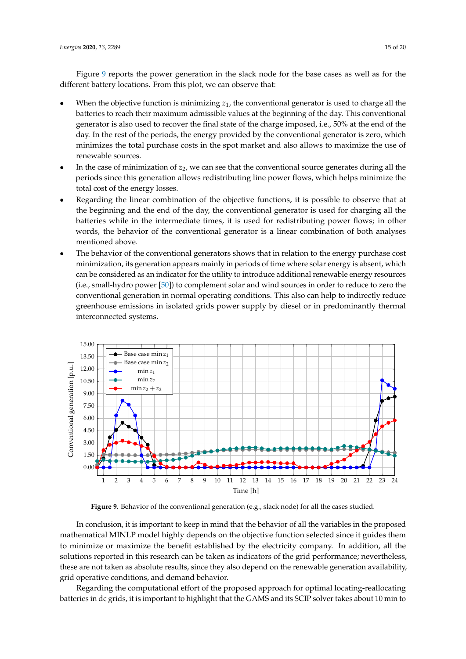Figure [9](#page-14-0) reports the power generation in the slack node for the base cases as well as for the different battery locations. From this plot, we can observe that:

- When the objective function is minimizing  $z<sub>1</sub>$ , the conventional generator is used to charge all the batteries to reach their maximum admissible values at the beginning of the day. This conventional generator is also used to recover the final state of the charge imposed, i.e., 50% at the end of the day. In the rest of the periods, the energy provided by the conventional generator is zero, which minimizes the total purchase costs in the spot market and also allows to maximize the use of renewable sources.
- In the case of minimization of *z*2, we can see that the conventional source generates during all the periods since this generation allows redistributing line power flows, which helps minimize the total cost of the energy losses.
- Regarding the linear combination of the objective functions, it is possible to observe that at the beginning and the end of the day, the conventional generator is used for charging all the batteries while in the intermediate times, it is used for redistributing power flows; in other words, the behavior of the conventional generator is a linear combination of both analyses mentioned above.
- The behavior of the conventional generators shows that in relation to the energy purchase cost minimization, its generation appears mainly in periods of time where solar energy is absent, which can be considered as an indicator for the utility to introduce additional renewable energy resources (i.e., small-hydro power [\[50\]](#page-19-8)) to complement solar and wind sources in order to reduce to zero the conventional generation in normal operating conditions. This also can help to indirectly reduce greenhouse emissions in isolated grids power supply by diesel or in predominantly thermal interconnected systems.

<span id="page-14-0"></span>

**Figure 9.** Behavior of the conventional generation (e.g., slack node) for all the cases studied.

In conclusion, it is important to keep in mind that the behavior of all the variables in the proposed mathematical MINLP model highly depends on the objective function selected since it guides them to minimize or maximize the benefit established by the electricity company. In addition, all the solutions reported in this research can be taken as indicators of the grid performance; nevertheless, these are not taken as absolute results, since they also depend on the renewable generation availability, grid operative conditions, and demand behavior.

Regarding the computational effort of the proposed approach for optimal locating-reallocating batteries in dc grids, it is important to highlight that the GAMS and its SCIP solver takes about 10 min to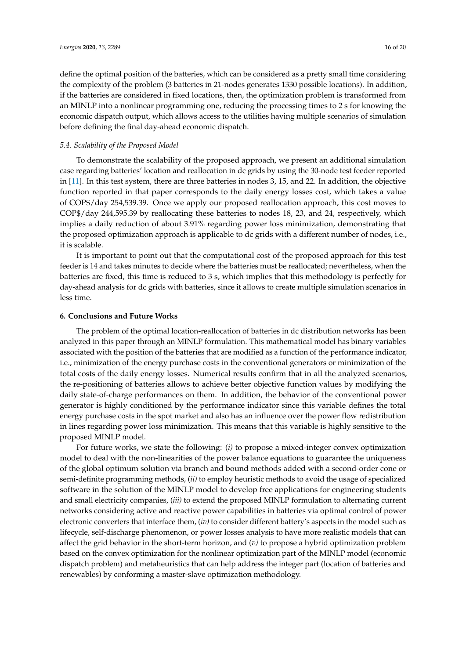define the optimal position of the batteries, which can be considered as a pretty small time considering the complexity of the problem (3 batteries in 21-nodes generates 1330 possible locations). In addition, if the batteries are considered in fixed locations, then, the optimization problem is transformed from an MINLP into a nonlinear programming one, reducing the processing times to 2 s for knowing the economic dispatch output, which allows access to the utilities having multiple scenarios of simulation before defining the final day-ahead economic dispatch.

## *5.4. Scalability of the Proposed Model*

To demonstrate the scalability of the proposed approach, we present an additional simulation case regarding batteries' location and reallocation in dc grids by using the 30-node test feeder reported in [\[11\]](#page-17-10). In this test system, there are three batteries in nodes 3, 15, and 22. In addition, the objective function reported in that paper corresponds to the daily energy losses cost, which takes a value of COP\$/day 254,539.39. Once we apply our proposed reallocation approach, this cost moves to COP\$/day 244,595.39 by reallocating these batteries to nodes 18, 23, and 24, respectively, which implies a daily reduction of about 3.91% regarding power loss minimization, demonstrating that the proposed optimization approach is applicable to dc grids with a different number of nodes, i.e., it is scalable.

It is important to point out that the computational cost of the proposed approach for this test feeder is 14 and takes minutes to decide where the batteries must be reallocated; nevertheless, when the batteries are fixed, this time is reduced to 3 s, which implies that this methodology is perfectly for day-ahead analysis for dc grids with batteries, since it allows to create multiple simulation scenarios in less time.

#### <span id="page-15-0"></span>**6. Conclusions and Future Works**

The problem of the optimal location-reallocation of batteries in dc distribution networks has been analyzed in this paper through an MINLP formulation. This mathematical model has binary variables associated with the position of the batteries that are modified as a function of the performance indicator, i.e., minimization of the energy purchase costs in the conventional generators or minimization of the total costs of the daily energy losses. Numerical results confirm that in all the analyzed scenarios, the re-positioning of batteries allows to achieve better objective function values by modifying the daily state-of-charge performances on them. In addition, the behavior of the conventional power generator is highly conditioned by the performance indicator since this variable defines the total energy purchase costs in the spot market and also has an influence over the power flow redistribution in lines regarding power loss minimization. This means that this variable is highly sensitive to the proposed MINLP model.

For future works, we state the following: (*i)* to propose a mixed-integer convex optimization model to deal with the non-linearities of the power balance equations to guarantee the uniqueness of the global optimum solution via branch and bound methods added with a second-order cone or semi-definite programming methods, (*ii)* to employ heuristic methods to avoid the usage of specialized software in the solution of the MINLP model to develop free applications for engineering students and small electricity companies, (*iii)* to extend the proposed MINLP formulation to alternating current networks considering active and reactive power capabilities in batteries via optimal control of power electronic converters that interface them, (*iv)* to consider different battery's aspects in the model such as lifecycle, self-discharge phenomenon, or power losses analysis to have more realistic models that can affect the grid behavior in the short-term horizon, and (*v)* to propose a hybrid optimization problem based on the convex optimization for the nonlinear optimization part of the MINLP model (economic dispatch problem) and metaheuristics that can help address the integer part (location of batteries and renewables) by conforming a master-slave optimization methodology.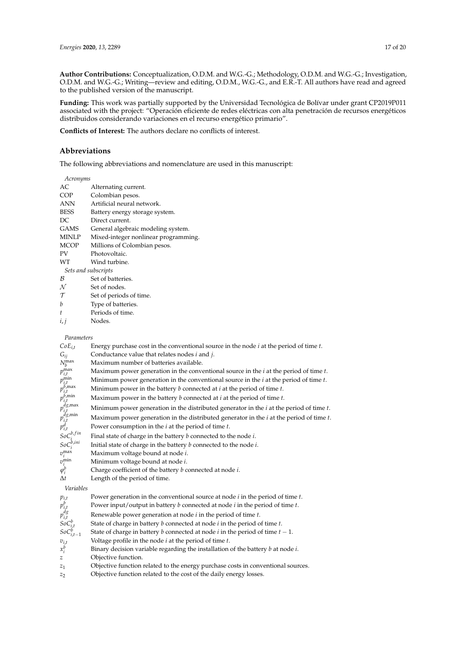**Author Contributions:** Conceptualization, O.D.M. and W.G.-G.; Methodology, O.D.M. and W.G.-G.; Investigation, O.D.M. and W.G.-G.; Writing—review and editing, O.D.M., W.G.-G., and E.R.-T. All authors have read and agreed to the published version of the manuscript.

**Funding:** This work was partially supported by the Universidad Tecnológica de Bolívar under grant CP2019P011 associated with the project: "Operación eficiente de redes eléctricas con alta penetración de recursos energéticos distribuidos considerando variaciones en el recurso energético primario".

**Conflicts of Interest:** The authors declare no conflicts of interest.

#### **Abbreviations**

The following abbreviations and nomenclature are used in this manuscript:

*Acronyms*

| AC                  | Alternating current.                 |
|---------------------|--------------------------------------|
| COP                 | Colombian pesos.                     |
| ANN                 | Artificial neural network.           |
| <b>BESS</b>         | Battery energy storage system.       |
| DC                  | Direct current.                      |
| GAMS                | General algebraic modeling system.   |
| MINLP               | Mixed-integer nonlinear programming. |
| <b>MCOP</b>         | Millions of Colombian pesos.         |
| PV                  | Photovoltaic.                        |
| WТ                  | Wind turbine.                        |
| Sets and subscripts |                                      |
| B                   | Set of batteries.                    |
| N                   | Set of nodes.                        |
| $\tau$              | Set of periods of time.              |
| b                   | Type of batteries.                   |
| t                   | Periods of time.                     |
| 1,1                 | Nodes.                               |
|                     |                                      |

*Parameters*

| $CoE_{i,t}$                                                                      | Energy purchase cost in the conventional source in the node $i$ at the period of time $t$ .    |
|----------------------------------------------------------------------------------|------------------------------------------------------------------------------------------------|
| $G_{ij}$                                                                         | Conductance value that relates nodes <i>i</i> and <i>j</i> .                                   |
| $N_b^{\max}$                                                                     | Maximum number of batteries available.                                                         |
| $p_{i,t}^{\max}$                                                                 | Maximum power generation in the conventional source in the $i$ at the period of time $t$ .     |
|                                                                                  | Minimum power generation in the conventional source in the $i$ at the period of time $t$ .     |
| $p_{i,t}^{\min}$<br>$p_{i,t}^{b,\max}$                                           | Minimum power in the battery $b$ connected at $i$ at the period of time $t$ .                  |
|                                                                                  | Maximum power in the battery $b$ connected at $i$ at the period of time $t$ .                  |
| $p_{i,t}^{b,\min}$<br>$p_{i,t}^{dg,\max}$                                        | Minimum power generation in the distributed generator in the $i$ at the period of time $t$ .   |
|                                                                                  | Maximum power generation in the distributed generator in the $i$ at the period of time $t$ .   |
| $p_{i,t}^{dg,min}$<br>$p_{i,t}^{d}$                                              | Power consumption in the $i$ at the period of time $t$ .                                       |
| $\mathit{SoC}^{b,fin}$                                                           | Final state of charge in the battery $b$ connected to the node $i$ .                           |
| $SoC_i^{b,ini}$                                                                  | Initial state of charge in the battery <i>b</i> connected to the node <i>i</i> .               |
| $v_i^{\max}$                                                                     | Maximum voltage bound at node i.                                                               |
| $v_i^{\min}$                                                                     | Minimum voltage bound at node i.                                                               |
| $\varphi_i^b$                                                                    | Charge coefficient of the battery $b$ connected at node $i$ .                                  |
| $\Delta t$                                                                       | Length of the period of time.                                                                  |
| Variables                                                                        |                                                                                                |
|                                                                                  | Power generation in the conventional source at node <i>i</i> in the period of time <i>t</i> .  |
|                                                                                  | Power input/output in battery $b$ connected at node $i$ in the period of time $t$ .            |
| $p_{i,t}$<br>$p_{i,t}$<br>$p_{i,t}$<br>$p_{i,t}$<br>$SoC_{i,t}$<br>$SoC_{i,t-1}$ | Renewable power generation at node <i>i</i> in the period of time <i>t</i> .                   |
|                                                                                  | State of charge in battery $b$ connected at node $i$ in the period of time $t$ .               |
|                                                                                  | State of charge in battery <i>b</i> connected at node <i>i</i> in the period of time $t - 1$ . |
| $v_{i,t}$                                                                        | Voltage profile in the node $i$ at the period of time $t$ .                                    |
| $x_i^b$                                                                          | Binary decision variable regarding the installation of the battery $b$ at node $i$ .           |
| z                                                                                | Objective function.                                                                            |

*z*<sup>1</sup> Objective function related to the energy purchase costs in conventional sources.

*z*<sup>2</sup> Objective function related to the cost of the daily energy losses.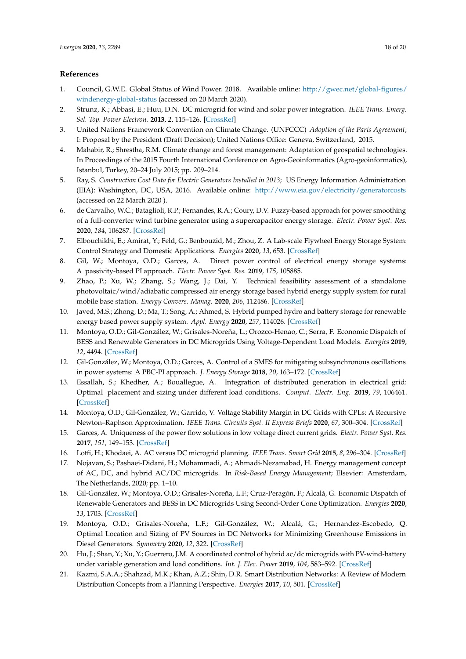# **References**

- <span id="page-17-0"></span>1. Council, G.W.E. Global Status of Wind Power. 2018. Available online: [http://gwec.net/global-figures/](http://gwec. net/global-figures/windenergy-global-status) [windenergy-global-status](http://gwec. net/global-figures/windenergy-global-status) (accessed on 20 March 2020).
- <span id="page-17-1"></span>2. Strunz, K.; Abbasi, E.; Huu, D.N. DC microgrid for wind and solar power integration. *IEEE Trans. Emerg. Sel. Top. Power Electron.* **2013**, *2*, 115–126. [\[CrossRef\]](http://dx.doi.org/10.1109/JESTPE.2013.2294738)
- <span id="page-17-2"></span>3. United Nations Framework Convention on Climate Change. (UNFCCC) *Adoption of the Paris Agreement*; I: Proposal by the President (Draft Decision); United Nations Office: Geneva, Switzerland, 2015.
- <span id="page-17-3"></span>4. Mahabir, R.; Shrestha, R.M. Climate change and forest management: Adaptation of geospatial technologies. In Proceedings of the 2015 Fourth International Conference on Agro-Geoinformatics (Agro-geoinformatics), Istanbul, Turkey, 20–24 July 2015; pp. 209–214.
- <span id="page-17-4"></span>5. Ray, S. *Construction Cost Data for Electric Generators Installed in 2013*; US Energy Information Administration (EIA): Washington, DC, USA, 2016. Available online: [http://www.eia.gov/electricity/generatorcosts]( http://www. eia. gov/electricity/generatorcosts) (accessed on 22 March 2020 ).
- <span id="page-17-5"></span>6. de Carvalho, W.C.; Bataglioli, R.P.; Fernandes, R.A.; Coury, D.V. Fuzzy-based approach for power smoothing of a full-converter wind turbine generator using a supercapacitor energy storage. *Electr. Power Syst. Res.* **2020**, *184*, 106287. [\[CrossRef\]](http://dx.doi.org/10.1016/j.epsr.2020.106287)
- <span id="page-17-6"></span>7. Elbouchikhi, E.; Amirat, Y.; Feld, G.; Benbouzid, M.; Zhou, Z. A Lab-scale Flywheel Energy Storage System: Control Strategy and Domestic Applications. *Energies* **2020**, *13*, 653. [\[CrossRef\]](http://dx.doi.org/10.3390/en13030653)
- <span id="page-17-7"></span>8. Gil, W.; Montoya, O.D.; Garces, A. Direct power control of electrical energy storage systems: A passivity-based PI approach. *Electr. Power Syst. Res.* **2019**, *175*, 105885.
- <span id="page-17-8"></span>9. Zhao, P.; Xu, W.; Zhang, S.; Wang, J.; Dai, Y. Technical feasibility assessment of a standalone photovoltaic/wind/adiabatic compressed air energy storage based hybrid energy supply system for rural mobile base station. *Energy Convers. Manag.* **2020**, *206*, 112486. [\[CrossRef\]](http://dx.doi.org/10.1016/j.enconman.2020.112486)
- <span id="page-17-9"></span>10. Javed, M.S.; Zhong, D.; Ma, T.; Song, A.; Ahmed, S. Hybrid pumped hydro and battery storage for renewable energy based power supply system. *Appl. Energy* **2020**, *257*, 114026. [\[CrossRef\]](http://dx.doi.org/10.1016/j.apenergy.2019.114026)
- <span id="page-17-10"></span>11. Montoya, O.D.; Gil-González, W.; Grisales-Noreña, L.; Orozco-Henao, C.; Serra, F. Economic Dispatch of BESS and Renewable Generators in DC Microgrids Using Voltage-Dependent Load Models. *Energies* **2019**, *12*, 4494. [\[CrossRef\]](http://dx.doi.org/10.3390/en12234494)
- <span id="page-17-11"></span>12. Gil-González, W.; Montoya, O.D.; Garces, A. Control of a SMES for mitigating subsynchronous oscillations in power systems: A PBC-PI approach. *J. Energy Storage* **2018**, *20*, 163–172. [\[CrossRef\]](http://dx.doi.org/10.1016/j.est.2018.09.001)
- <span id="page-17-12"></span>13. Essallah, S.; Khedher, A.; Bouallegue, A. Integration of distributed generation in electrical grid: Optimal placement and sizing under different load conditions. *Comput. Electr. Eng.* **2019**, *79*, 106461. [\[CrossRef\]](http://dx.doi.org/10.1016/j.compeleceng.2019.106461)
- <span id="page-17-13"></span>14. Montoya, O.D.; Gil-González, W.; Garrido, V. Voltage Stability Margin in DC Grids with CPLs: A Recursive Newton–Raphson Approximation. *IEEE Trans. Circuits Syst. II Express Briefs* **2020**, *67*, 300–304. [\[CrossRef\]](http://dx.doi.org/10.1109/TCSII.2019.2904211)
- <span id="page-17-14"></span>15. Garces, A. Uniqueness of the power flow solutions in low voltage direct current grids. *Electr. Power Syst. Res.* **2017**, *151*, 149–153. [\[CrossRef\]](http://dx.doi.org/10.1016/j.epsr.2017.05.031)
- <span id="page-17-15"></span>16. Lotfi, H.; Khodaei, A. AC versus DC microgrid planning. *IEEE Trans. Smart Grid* **2015**, *8*, 296–304. [\[CrossRef\]](http://dx.doi.org/10.1109/TSG.2015.2457910)
- <span id="page-17-16"></span>17. Nojavan, S.; Pashaei-Didani, H.; Mohammadi, A.; Ahmadi-Nezamabad, H. Energy management concept of AC, DC, and hybrid AC/DC microgrids. In *Risk-Based Energy Management*; Elsevier: Amsterdam, The Netherlands, 2020; pp. 1–10.
- <span id="page-17-17"></span>18. Gil-González, W.; Montoya, O.D.; Grisales-Noreña, L.F.; Cruz-Peragón, F.; Alcalá, G. Economic Dispatch of Renewable Generators and BESS in DC Microgrids Using Second-Order Cone Optimization. *Energies* **2020**, *13*, 1703. [\[CrossRef\]](http://dx.doi.org/10.3390/en13071703)
- <span id="page-17-18"></span>19. Montoya, O.D.; Grisales-Noreña, L.F.; Gil-González, W.; Alcalá, G.; Hernandez-Escobedo, Q. Optimal Location and Sizing of PV Sources in DC Networks for Minimizing Greenhouse Emissions in Diesel Generators. *Symmetry* **2020**, *12*, 322. [\[CrossRef\]](http://dx.doi.org/10.3390/sym12020322)
- <span id="page-17-19"></span>20. Hu, J.; Shan, Y.; Xu, Y.; Guerrero, J.M. A coordinated control of hybrid ac/dc microgrids with PV-wind-battery under variable generation and load conditions. *Int. J. Elec. Power* **2019**, *104*, 583–592. [\[CrossRef\]](http://dx.doi.org/10.1016/j.ijepes.2018.07.037)
- <span id="page-17-20"></span>21. Kazmi, S.A.A.; Shahzad, M.K.; Khan, A.Z.; Shin, D.R. Smart Distribution Networks: A Review of Modern Distribution Concepts from a Planning Perspective. *Energies* **2017**, *10*, 501. [\[CrossRef\]](http://dx.doi.org/10.3390/en10040501)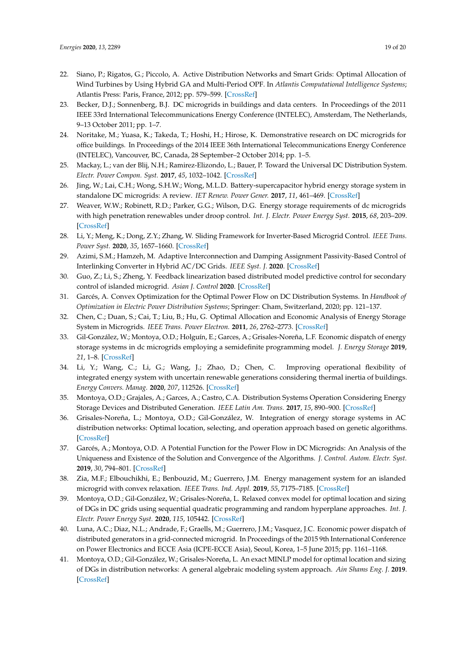- <span id="page-18-0"></span>22. Siano, P.; Rigatos, G.; Piccolo, A. Active Distribution Networks and Smart Grids: Optimal Allocation of Wind Turbines by Using Hybrid GA and Multi-Period OPF. In *Atlantis Computational Intelligence Systems*; Atlantis Press: Paris, France, 2012; pp. 579–599. [\[CrossRef\]](http://dx.doi.org/10.2991/978-94-91216-77-0_27)
- <span id="page-18-1"></span>23. Becker, D.J.; Sonnenberg, B.J. DC microgrids in buildings and data centers. In Proceedings of the 2011 IEEE 33rd International Telecommunications Energy Conference (INTELEC), Amsterdam, The Netherlands, 9–13 October 2011; pp. 1–7.
- <span id="page-18-2"></span>24. Noritake, M.; Yuasa, K.; Takeda, T.; Hoshi, H.; Hirose, K. Demonstrative research on DC microgrids for office buildings. In Proceedings of the 2014 IEEE 36th International Telecommunications Energy Conference (INTELEC), Vancouver, BC, Canada, 28 September–2 October 2014; pp. 1–5.
- <span id="page-18-3"></span>25. Mackay, L.; van der Blij, N.H.; Ramirez-Elizondo, L.; Bauer, P. Toward the Universal DC Distribution System. *Electr. Power Compon. Syst.* **2017**, *45*, 1032–1042. [\[CrossRef\]](http://dx.doi.org/10.1080/15325008.2017.1318977)
- <span id="page-18-4"></span>26. Jing, W.; Lai, C.H.; Wong, S.H.W.; Wong, M.L.D. Battery-supercapacitor hybrid energy storage system in standalone DC microgrids: A review. *IET Renew. Power Gener.* **2017**, *11*, 461–469. [\[CrossRef\]](http://dx.doi.org/10.1049/iet-rpg.2016.0500)
- <span id="page-18-5"></span>27. Weaver, W.W.; Robinett, R.D.; Parker, G.G.; Wilson, D.G. Energy storage requirements of dc microgrids with high penetration renewables under droop control. *Int. J. Electr. Power Energy Syst.* **2015**, *68*, 203–209. [\[CrossRef\]](http://dx.doi.org/10.1016/j.ijepes.2014.12.070)
- <span id="page-18-6"></span>28. Li, Y.; Meng, K.; Dong, Z.Y.; Zhang, W. Sliding Framework for Inverter-Based Microgrid Control. *IEEE Trans. Power Syst.* **2020**, *35*, 1657–1660. [\[CrossRef\]](http://dx.doi.org/10.1109/TPWRS.2020.2965762)
- <span id="page-18-7"></span>29. Azimi, S.M.; Hamzeh, M. Adaptive Interconnection and Damping Assignment Passivity-Based Control of Interlinking Converter in Hybrid AC/DC Grids. *IEEE Syst. J.* **2020**. [\[CrossRef\]](http://dx.doi.org/10.1109/JSYST.2019.2961314)
- <span id="page-18-8"></span>30. Guo, Z.; Li, S.; Zheng, Y. Feedback linearization based distributed model predictive control for secondary control of islanded microgrid. *Asian J. Control* **2020**. [\[CrossRef\]](http://dx.doi.org/10.1002/asjc.1906)
- <span id="page-18-9"></span>31. Garcés, A. Convex Optimization for the Optimal Power Flow on DC Distribution Systems. In *Handbook of Optimization in Electric Power Distribution Systems*; Springer: Cham, Switzerland, 2020; pp. 121–137.
- <span id="page-18-10"></span>32. Chen, C.; Duan, S.; Cai, T.; Liu, B.; Hu, G. Optimal Allocation and Economic Analysis of Energy Storage System in Microgrids. *IEEE Trans. Power Electron.* **2011**, *26*, 2762–2773. [\[CrossRef\]](http://dx.doi.org/10.1109/TPEL.2011.2116808)
- <span id="page-18-11"></span>33. Gil-González, W.; Montoya, O.D.; Holguín, E.; Garces, A.; Grisales-Noreña, L.F. Economic dispatch of energy storage systems in dc microgrids employing a semidefinite programming model. *J. Energy Storage* **2019**, *21*, 1–8. [\[CrossRef\]](http://dx.doi.org/10.1016/j.est.2018.10.025)
- <span id="page-18-12"></span>34. Li, Y.; Wang, C.; Li, G.; Wang, J.; Zhao, D.; Chen, C. Improving operational flexibility of integrated energy system with uncertain renewable generations considering thermal inertia of buildings. *Energy Convers. Manag.* **2020**, *207*, 112526. [\[CrossRef\]](http://dx.doi.org/10.1016/j.enconman.2020.112526)
- <span id="page-18-13"></span>35. Montoya, O.D.; Grajales, A.; Garces, A.; Castro, C.A. Distribution Systems Operation Considering Energy Storage Devices and Distributed Generation. *IEEE Latin Am. Trans.* **2017**, *15*, 890–900. [\[CrossRef\]](http://dx.doi.org/10.1109/TLA.2017.7910203)
- <span id="page-18-14"></span>36. Grisales-Noreña, L.; Montoya, O.D.; Gil-González, W. Integration of energy storage systems in AC distribution networks: Optimal location, selecting, and operation approach based on genetic algorithms. [\[CrossRef\]](http://dx.doi.org/10.1016/j.est.2019.100891)
- <span id="page-18-15"></span>37. Garcés, A.; Montoya, O.D. A Potential Function for the Power Flow in DC Microgrids: An Analysis of the Uniqueness and Existence of the Solution and Convergence of the Algorithms. *J. Control. Autom. Electr. Syst.* **2019**, *30*, 794–801. [\[CrossRef\]](http://dx.doi.org/10.1007/s40313-019-00489-4)
- <span id="page-18-16"></span>38. Zia, M.F.; Elbouchikhi, E.; Benbouzid, M.; Guerrero, J.M. Energy management system for an islanded microgrid with convex relaxation. *IEEE Trans. Ind. Appl.* **2019**, *55*, 7175–7185. [\[CrossRef\]](http://dx.doi.org/10.1109/TIA.2019.2917357)
- <span id="page-18-17"></span>39. Montoya, O.D.; Gil-González, W.; Grisales-Noreña, L. Relaxed convex model for optimal location and sizing of DGs in DC grids using sequential quadratic programming and random hyperplane approaches. *Int. J. Electr. Power Energy Syst.* **2020**, *115*, 105442. [\[CrossRef\]](http://dx.doi.org/10.1016/j.ijepes.2019.105442)
- <span id="page-18-18"></span>40. Luna, A.C.; Diaz, N.L.; Andrade, F.; Graells, M.; Guerrero, J.M.; Vasquez, J.C. Economic power dispatch of distributed generators in a grid-connected microgrid. In Proceedings of the 2015 9th International Conference on Power Electronics and ECCE Asia (ICPE-ECCE Asia), Seoul, Korea, 1–5 June 2015; pp. 1161–1168.
- <span id="page-18-19"></span>41. Montoya, O.D.; Gil-González, W.; Grisales-Noreña, L. An exact MINLP model for optimal location and sizing of DGs in distribution networks: A general algebraic modeling system approach. *Ain Shams Eng. J.* **2019**. [\[CrossRef\]](http://dx.doi.org/10.1016/j.asej.2019.08.011)